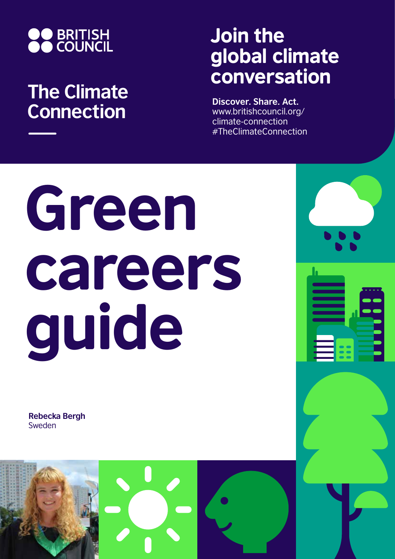

## **The Climate Connection**

## Join the global climate conversation

**Discover. Share. Act.** www.britishcouncil.org/ climate-connection #TheClimateConnection

## Green careers guide

**Rebecka Bergh** Sweden

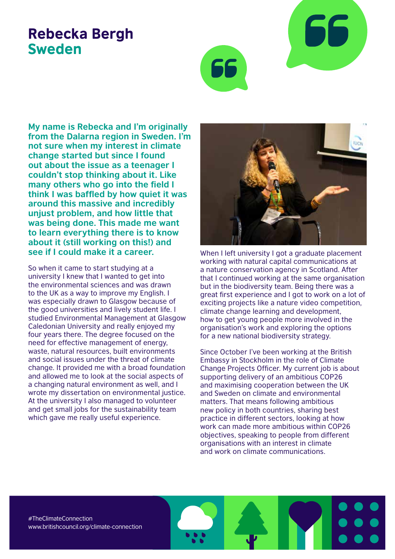## Rebecka Bergh Sweden



**My name is Rebecka and I'm originally from the Dalarna region in Sweden. I'm not sure when my interest in climate change started but since I found out about the issue as a teenager I couldn't stop thinking about it. Like many others who go into the field I think I was baffled by how quiet it was around this massive and incredibly unjust problem, and how little that was being done. This made me want to learn everything there is to know about it (still working on this!) and see if I could make it a career.** 

So when it came to start studying at a university I knew that I wanted to get into the environmental sciences and was drawn to the UK as a way to improve my English. I was especially drawn to Glasgow because of the good universities and lively student life. I studied Environmental Management at Glasgow Caledonian University and really enjoyed my four years there. The degree focused on the need for effective management of energy, waste, natural resources, built environments and social issues under the threat of climate change. It provided me with a broad foundation and allowed me to look at the social aspects of a changing natural environment as well, and I wrote my dissertation on environmental justice. At the university I also managed to volunteer and get small jobs for the sustainability team which gave me really useful experience.



When I left university I got a graduate placement working with natural capital communications at a nature conservation agency in Scotland. After that I continued working at the same organisation but in the biodiversity team. Being there was a great first experience and I got to work on a lot of exciting projects like a nature video competition, climate change learning and development, how to get young people more involved in the organisation's work and exploring the options for a new national biodiversity strategy.

Since October I've been working at the British Embassy in Stockholm in the role of Climate Change Projects Officer. My current job is about supporting delivery of an ambitious COP26 and maximising cooperation between the UK and Sweden on climate and environmental matters. That means following ambitious new policy in both countries, sharing best practice in different sectors, looking at how work can made more ambitious within COP26 objectives, speaking to people from different organisations with an interest in climate and work on climate communications.

#TheClimateConnection www.britishcouncil.org/climate-connection